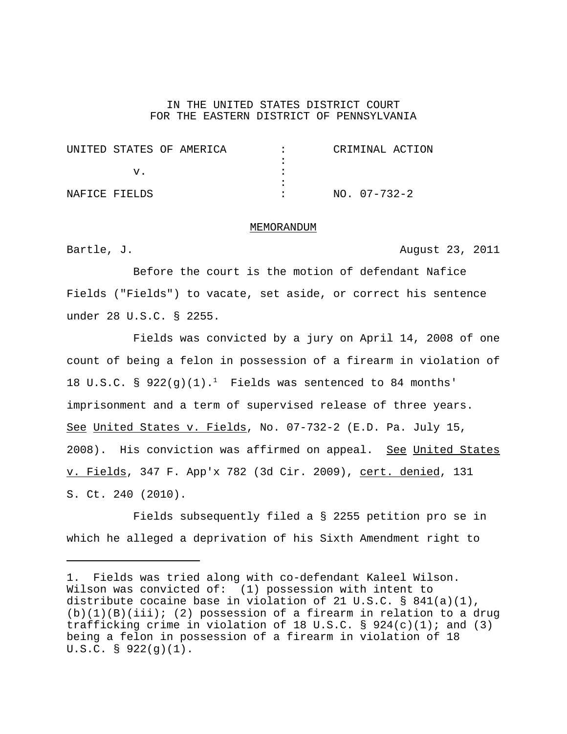## IN THE UNITED STATES DISTRICT COURT FOR THE EASTERN DISTRICT OF PENNSYLVANIA

|               | UNITED STATES OF AMERICA | CRIMINAL ACTION |
|---------------|--------------------------|-----------------|
|               |                          |                 |
|               |                          |                 |
|               |                          |                 |
| NAFICE FIELDS |                          | $NO. 07-732-2$  |

## MEMORANDUM

Bartle, J.  $\overline{A}$  Bartle,  $\overline{A}$  and  $\overline{A}$  and  $\overline{A}$  and  $\overline{A}$  and  $\overline{A}$  and  $\overline{A}$  and  $\overline{A}$  and  $\overline{A}$  and  $\overline{A}$  and  $\overline{A}$  and  $\overline{A}$  and  $\overline{A}$  and  $\overline{A}$  and  $\overline{A}$  and  $\overline{A}$  and

Before the court is the motion of defendant Nafice Fields ("Fields") to vacate, set aside, or correct his sentence under 28 U.S.C. § 2255.

Fields was convicted by a jury on April 14, 2008 of one count of being a felon in possession of a firearm in violation of 18 U.S.C. § 922(q)(1).<sup>1</sup> Fields was sentenced to 84 months' imprisonment and a term of supervised release of three years. See United States v. Fields, No. 07-732-2 (E.D. Pa. July 15, 2008). His conviction was affirmed on appeal. See United States v. Fields, 347 F. App'x 782 (3d Cir. 2009), cert. denied, 131 S. Ct. 240 (2010).

Fields subsequently filed a § 2255 petition pro se in which he alleged a deprivation of his Sixth Amendment right to

<sup>1.</sup> Fields was tried along with co-defendant Kaleel Wilson. Wilson was convicted of: (1) possession with intent to distribute cocaine base in violation of 21 U.S.C. § 841(a)(1),  $(b)(1)(B)(iii);$  (2) possession of a firearm in relation to a drug trafficking crime in violation of 18 U.S.C. § 924(c)(1); and (3) being a felon in possession of a firearm in violation of 18 U.S.C. § 922(g)(1).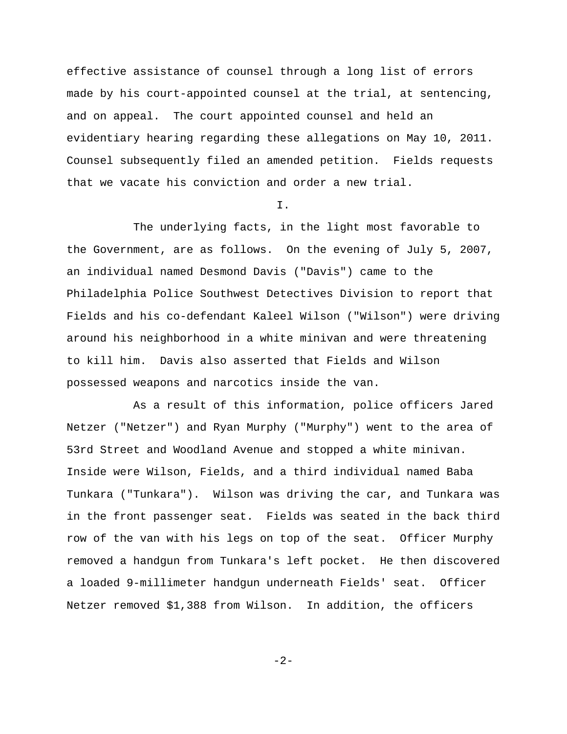effective assistance of counsel through a long list of errors made by his court-appointed counsel at the trial, at sentencing, and on appeal. The court appointed counsel and held an evidentiary hearing regarding these allegations on May 10, 2011. Counsel subsequently filed an amended petition. Fields requests that we vacate his conviction and order a new trial.

I.

The underlying facts, in the light most favorable to the Government, are as follows. On the evening of July 5, 2007, an individual named Desmond Davis ("Davis") came to the Philadelphia Police Southwest Detectives Division to report that Fields and his co-defendant Kaleel Wilson ("Wilson") were driving around his neighborhood in a white minivan and were threatening to kill him. Davis also asserted that Fields and Wilson possessed weapons and narcotics inside the van.

As a result of this information, police officers Jared Netzer ("Netzer") and Ryan Murphy ("Murphy") went to the area of 53rd Street and Woodland Avenue and stopped a white minivan. Inside were Wilson, Fields, and a third individual named Baba Tunkara ("Tunkara"). Wilson was driving the car, and Tunkara was in the front passenger seat. Fields was seated in the back third row of the van with his legs on top of the seat. Officer Murphy removed a handgun from Tunkara's left pocket. He then discovered a loaded 9-millimeter handgun underneath Fields' seat. Officer Netzer removed \$1,388 from Wilson. In addition, the officers

-2-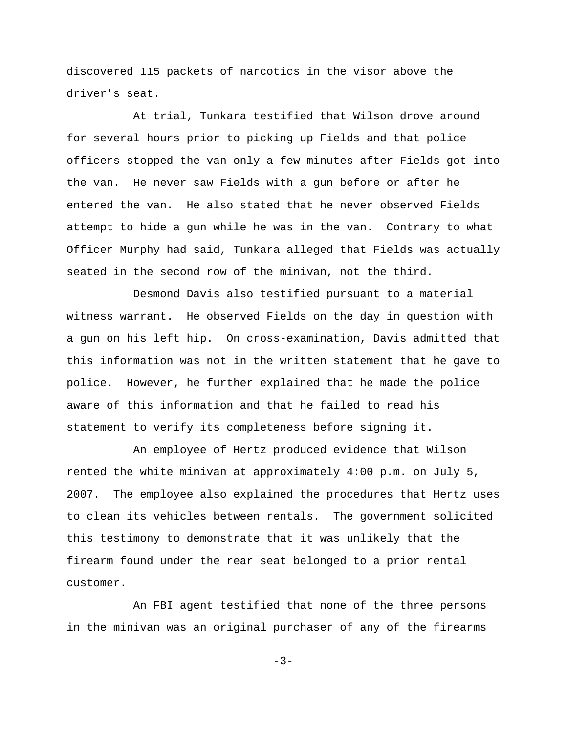discovered 115 packets of narcotics in the visor above the driver's seat.

At trial, Tunkara testified that Wilson drove around for several hours prior to picking up Fields and that police officers stopped the van only a few minutes after Fields got into the van. He never saw Fields with a gun before or after he entered the van. He also stated that he never observed Fields attempt to hide a gun while he was in the van. Contrary to what Officer Murphy had said, Tunkara alleged that Fields was actually seated in the second row of the minivan, not the third.

Desmond Davis also testified pursuant to a material witness warrant. He observed Fields on the day in question with a gun on his left hip. On cross-examination, Davis admitted that this information was not in the written statement that he gave to police. However, he further explained that he made the police aware of this information and that he failed to read his statement to verify its completeness before signing it.

An employee of Hertz produced evidence that Wilson rented the white minivan at approximately 4:00 p.m. on July 5, 2007. The employee also explained the procedures that Hertz uses to clean its vehicles between rentals. The government solicited this testimony to demonstrate that it was unlikely that the firearm found under the rear seat belonged to a prior rental customer.

An FBI agent testified that none of the three persons in the minivan was an original purchaser of any of the firearms

 $-3-$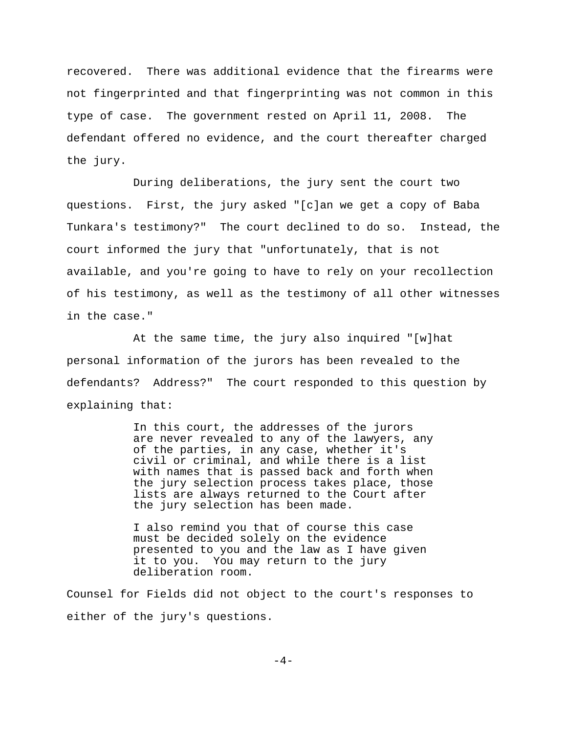recovered. There was additional evidence that the firearms were not fingerprinted and that fingerprinting was not common in this type of case. The government rested on April 11, 2008. The defendant offered no evidence, and the court thereafter charged the jury.

During deliberations, the jury sent the court two questions. First, the jury asked "[c]an we get a copy of Baba Tunkara's testimony?" The court declined to do so. Instead, the court informed the jury that "unfortunately, that is not available, and you're going to have to rely on your recollection of his testimony, as well as the testimony of all other witnesses in the case."

At the same time, the jury also inquired "[w]hat personal information of the jurors has been revealed to the defendants? Address?" The court responded to this question by explaining that:

> In this court, the addresses of the jurors are never revealed to any of the lawyers, any of the parties, in any case, whether it's civil or criminal, and while there is a list with names that is passed back and forth when the jury selection process takes place, those lists are always returned to the Court after the jury selection has been made.

I also remind you that of course this case must be decided solely on the evidence presented to you and the law as I have given it to you. You may return to the jury deliberation room.

Counsel for Fields did not object to the court's responses to either of the jury's questions.

 $-4-$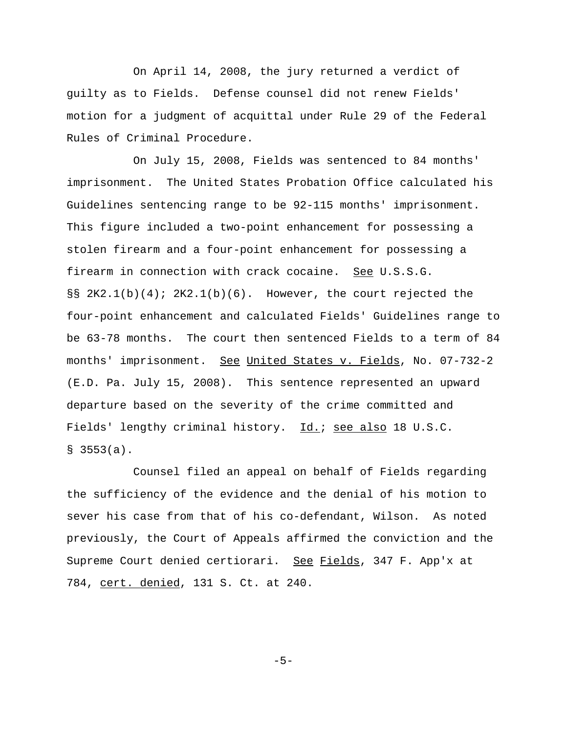On April 14, 2008, the jury returned a verdict of guilty as to Fields. Defense counsel did not renew Fields' motion for a judgment of acquittal under Rule 29 of the Federal Rules of Criminal Procedure.

On July 15, 2008, Fields was sentenced to 84 months' imprisonment. The United States Probation Office calculated his Guidelines sentencing range to be 92-115 months' imprisonment. This figure included a two-point enhancement for possessing a stolen firearm and a four-point enhancement for possessing a firearm in connection with crack cocaine. See U.S.S.G. §§ 2K2.1(b)(4); 2K2.1(b)(6). However, the court rejected the four-point enhancement and calculated Fields' Guidelines range to be 63-78 months. The court then sentenced Fields to a term of 84 months' imprisonment. See United States v. Fields, No. 07-732-2 (E.D. Pa. July 15, 2008). This sentence represented an upward departure based on the severity of the crime committed and Fields' lengthy criminal history. Id.; see also 18 U.S.C.  $$3553(a).$ 

Counsel filed an appeal on behalf of Fields regarding the sufficiency of the evidence and the denial of his motion to sever his case from that of his co-defendant, Wilson. As noted previously, the Court of Appeals affirmed the conviction and the Supreme Court denied certiorari. See Fields, 347 F. App'x at 784, cert. denied, 131 S. Ct. at 240.

-5-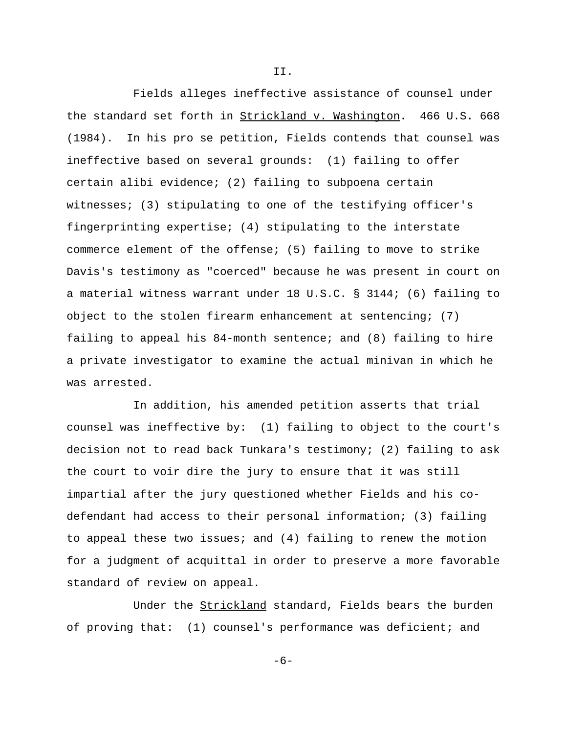Fields alleges ineffective assistance of counsel under the standard set forth in Strickland v. Washington. 466 U.S. 668 (1984). In his pro se petition, Fields contends that counsel was ineffective based on several grounds: (1) failing to offer certain alibi evidence; (2) failing to subpoena certain witnesses; (3) stipulating to one of the testifying officer's fingerprinting expertise; (4) stipulating to the interstate commerce element of the offense; (5) failing to move to strike Davis's testimony as "coerced" because he was present in court on a material witness warrant under 18 U.S.C. § 3144; (6) failing to object to the stolen firearm enhancement at sentencing; (7) failing to appeal his 84-month sentence; and (8) failing to hire a private investigator to examine the actual minivan in which he was arrested.

II.

In addition, his amended petition asserts that trial counsel was ineffective by: (1) failing to object to the court's decision not to read back Tunkara's testimony; (2) failing to ask the court to voir dire the jury to ensure that it was still impartial after the jury questioned whether Fields and his codefendant had access to their personal information; (3) failing to appeal these two issues; and (4) failing to renew the motion for a judgment of acquittal in order to preserve a more favorable standard of review on appeal.

Under the **Strickland** standard, Fields bears the burden of proving that: (1) counsel's performance was deficient; and

-6-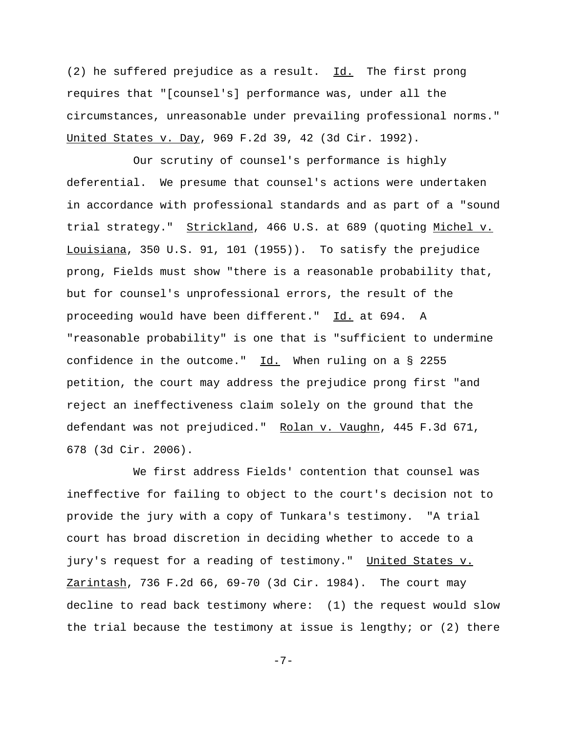(2) he suffered prejudice as a result.  $Id.$  The first prong requires that "[counsel's] performance was, under all the circumstances, unreasonable under prevailing professional norms." United States v. Day, 969 F.2d 39, 42 (3d Cir. 1992).

Our scrutiny of counsel's performance is highly deferential. We presume that counsel's actions were undertaken in accordance with professional standards and as part of a "sound trial strategy." Strickland, 466 U.S. at 689 (quoting Michel v. Louisiana, 350 U.S. 91, 101 (1955)). To satisfy the prejudice prong, Fields must show "there is a reasonable probability that, but for counsel's unprofessional errors, the result of the proceeding would have been different." Id. at 694. A "reasonable probability" is one that is "sufficient to undermine confidence in the outcome."  $Id.$  When ruling on a § 2255 petition, the court may address the prejudice prong first "and reject an ineffectiveness claim solely on the ground that the defendant was not prejudiced." Rolan v. Vaughn, 445 F.3d 671, 678 (3d Cir. 2006).

We first address Fields' contention that counsel was ineffective for failing to object to the court's decision not to provide the jury with a copy of Tunkara's testimony. "A trial court has broad discretion in deciding whether to accede to a jury's request for a reading of testimony." United States v. Zarintash, 736 F.2d 66, 69-70 (3d Cir. 1984). The court may decline to read back testimony where: (1) the request would slow the trial because the testimony at issue is lengthy; or  $(2)$  there

-7-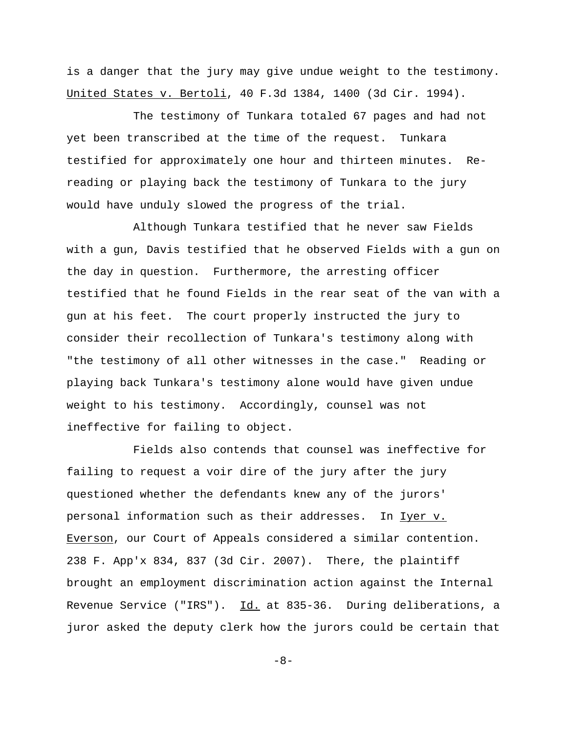is a danger that the jury may give undue weight to the testimony. United States v. Bertoli, 40 F.3d 1384, 1400 (3d Cir. 1994).

The testimony of Tunkara totaled 67 pages and had not yet been transcribed at the time of the request. Tunkara testified for approximately one hour and thirteen minutes. Rereading or playing back the testimony of Tunkara to the jury would have unduly slowed the progress of the trial.

Although Tunkara testified that he never saw Fields with a gun, Davis testified that he observed Fields with a gun on the day in question. Furthermore, the arresting officer testified that he found Fields in the rear seat of the van with a gun at his feet. The court properly instructed the jury to consider their recollection of Tunkara's testimony along with "the testimony of all other witnesses in the case." Reading or playing back Tunkara's testimony alone would have given undue weight to his testimony. Accordingly, counsel was not ineffective for failing to object.

Fields also contends that counsel was ineffective for failing to request a voir dire of the jury after the jury questioned whether the defendants knew any of the jurors' personal information such as their addresses. In Iyer v. Everson, our Court of Appeals considered a similar contention. 238 F. App'x 834, 837 (3d Cir. 2007). There, the plaintiff brought an employment discrimination action against the Internal Revenue Service ("IRS"). Id. at 835-36. During deliberations, a juror asked the deputy clerk how the jurors could be certain that

-8-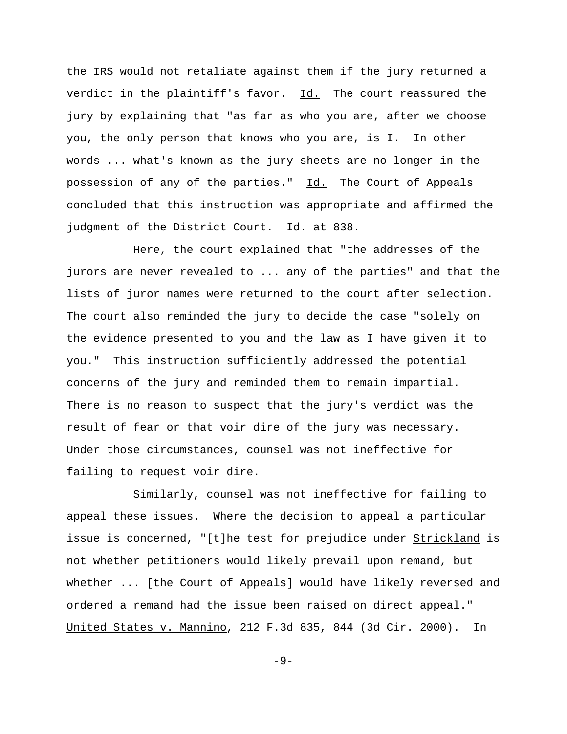the IRS would not retaliate against them if the jury returned a verdict in the plaintiff's favor. Id. The court reassured the jury by explaining that "as far as who you are, after we choose you, the only person that knows who you are, is I. In other words ... what's known as the jury sheets are no longer in the possession of any of the parties." Id. The Court of Appeals concluded that this instruction was appropriate and affirmed the judgment of the District Court. Id. at 838.

Here, the court explained that "the addresses of the jurors are never revealed to ... any of the parties" and that the lists of juror names were returned to the court after selection. The court also reminded the jury to decide the case "solely on the evidence presented to you and the law as I have given it to you." This instruction sufficiently addressed the potential concerns of the jury and reminded them to remain impartial. There is no reason to suspect that the jury's verdict was the result of fear or that voir dire of the jury was necessary. Under those circumstances, counsel was not ineffective for failing to request voir dire.

Similarly, counsel was not ineffective for failing to appeal these issues. Where the decision to appeal a particular issue is concerned, "[t]he test for prejudice under Strickland is not whether petitioners would likely prevail upon remand, but whether ... [the Court of Appeals] would have likely reversed and ordered a remand had the issue been raised on direct appeal." United States v. Mannino, 212 F.3d 835, 844 (3d Cir. 2000). In

 $-9-$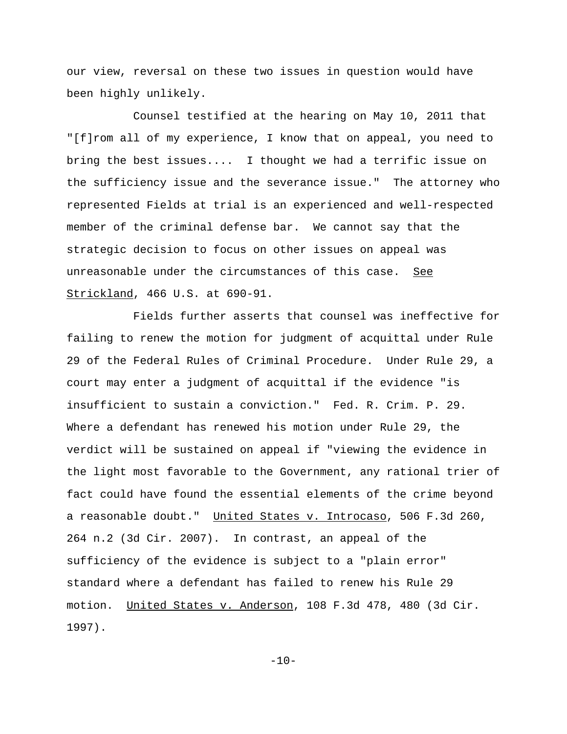our view, reversal on these two issues in question would have been highly unlikely.

Counsel testified at the hearing on May 10, 2011 that "[f]rom all of my experience, I know that on appeal, you need to bring the best issues.... I thought we had a terrific issue on the sufficiency issue and the severance issue." The attorney who represented Fields at trial is an experienced and well-respected member of the criminal defense bar. We cannot say that the strategic decision to focus on other issues on appeal was unreasonable under the circumstances of this case. See Strickland, 466 U.S. at 690-91.

Fields further asserts that counsel was ineffective for failing to renew the motion for judgment of acquittal under Rule 29 of the Federal Rules of Criminal Procedure. Under Rule 29, a court may enter a judgment of acquittal if the evidence "is insufficient to sustain a conviction." Fed. R. Crim. P. 29. Where a defendant has renewed his motion under Rule 29, the verdict will be sustained on appeal if "viewing the evidence in the light most favorable to the Government, any rational trier of fact could have found the essential elements of the crime beyond a reasonable doubt." United States v. Introcaso, 506 F.3d 260, 264 n.2 (3d Cir. 2007). In contrast, an appeal of the sufficiency of the evidence is subject to a "plain error" standard where a defendant has failed to renew his Rule 29 motion. United States v. Anderson, 108 F.3d 478, 480 (3d Cir. 1997).

 $-10-$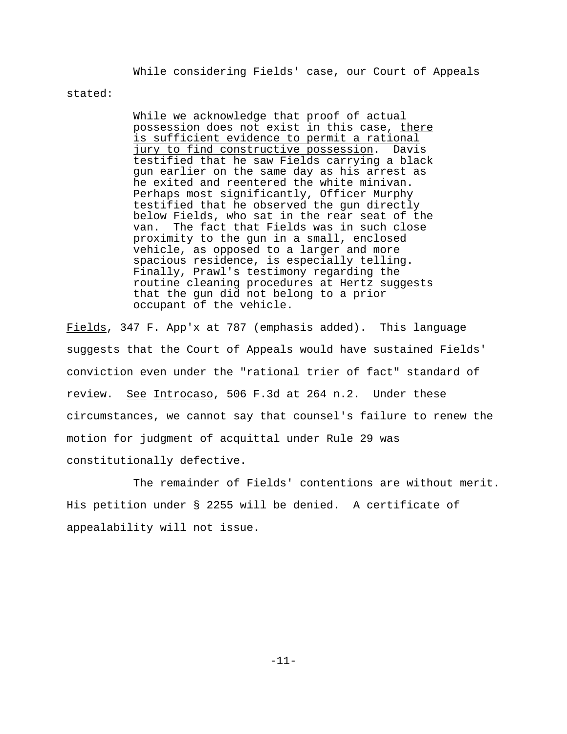While considering Fields' case, our Court of Appeals

stated:

While we acknowledge that proof of actual possession does not exist in this case, there is sufficient evidence to permit a rational jury to find constructive possession. Davis testified that he saw Fields carrying a black gun earlier on the same day as his arrest as he exited and reentered the white minivan. Perhaps most significantly, Officer Murphy testified that he observed the gun directly below Fields, who sat in the rear seat of the van. The fact that Fields was in such close proximity to the gun in a small, enclosed vehicle, as opposed to a larger and more spacious residence, is especially telling. Finally, Prawl's testimony regarding the routine cleaning procedures at Hertz suggests that the gun did not belong to a prior occupant of the vehicle.

Fields, 347 F. App'x at 787 (emphasis added). This language suggests that the Court of Appeals would have sustained Fields' conviction even under the "rational trier of fact" standard of review. See Introcaso, 506 F.3d at 264 n.2. Under these circumstances, we cannot say that counsel's failure to renew the motion for judgment of acquittal under Rule 29 was constitutionally defective.

The remainder of Fields' contentions are without merit. His petition under § 2255 will be denied. A certificate of appealability will not issue.